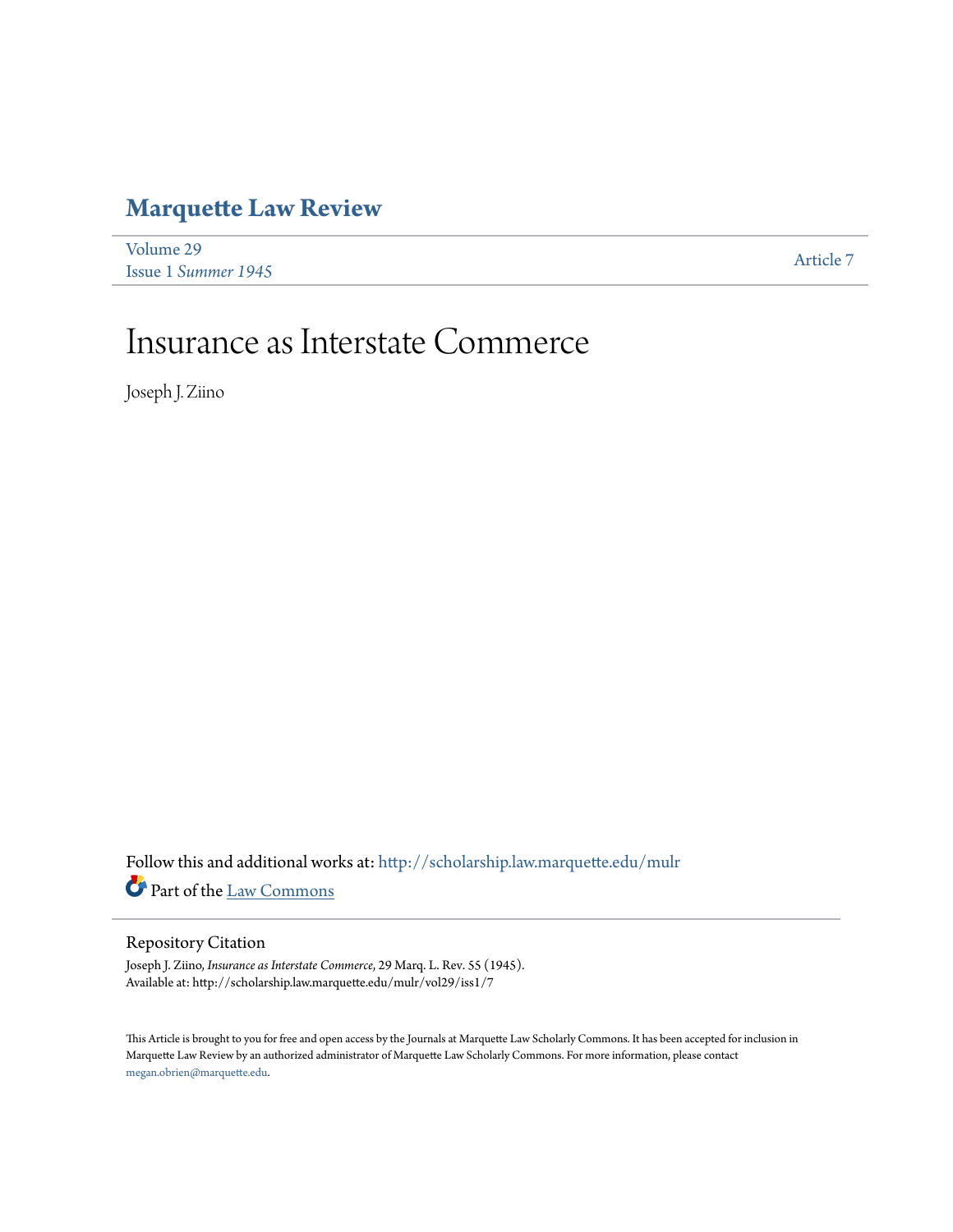## **[Marquette Law Review](http://scholarship.law.marquette.edu/mulr?utm_source=scholarship.law.marquette.edu%2Fmulr%2Fvol29%2Fiss1%2F7&utm_medium=PDF&utm_campaign=PDFCoverPages)**

| Volume 29           | Article 7 |
|---------------------|-----------|
| Issue 1 Summer 1945 |           |

## Insurance as Interstate Commerce

Joseph J. Ziino

 ${\bf Follow~this~and~additional~works~at:~http://scholarship.law.marquette.edu/mulr}$  ${\bf Follow~this~and~additional~works~at:~http://scholarship.law.marquette.edu/mulr}$  ${\bf Follow~this~and~additional~works~at:~http://scholarship.law.marquette.edu/mulr}$ Part of the [Law Commons](http://network.bepress.com/hgg/discipline/578?utm_source=scholarship.law.marquette.edu%2Fmulr%2Fvol29%2Fiss1%2F7&utm_medium=PDF&utm_campaign=PDFCoverPages)

## Repository Citation

Joseph J. Ziino, *Insurance as Interstate Commerce*, 29 Marq. L. Rev. 55 (1945). Available at: http://scholarship.law.marquette.edu/mulr/vol29/iss1/7

This Article is brought to you for free and open access by the Journals at Marquette Law Scholarly Commons. It has been accepted for inclusion in Marquette Law Review by an authorized administrator of Marquette Law Scholarly Commons. For more information, please contact [megan.obrien@marquette.edu.](mailto:megan.obrien@marquette.edu)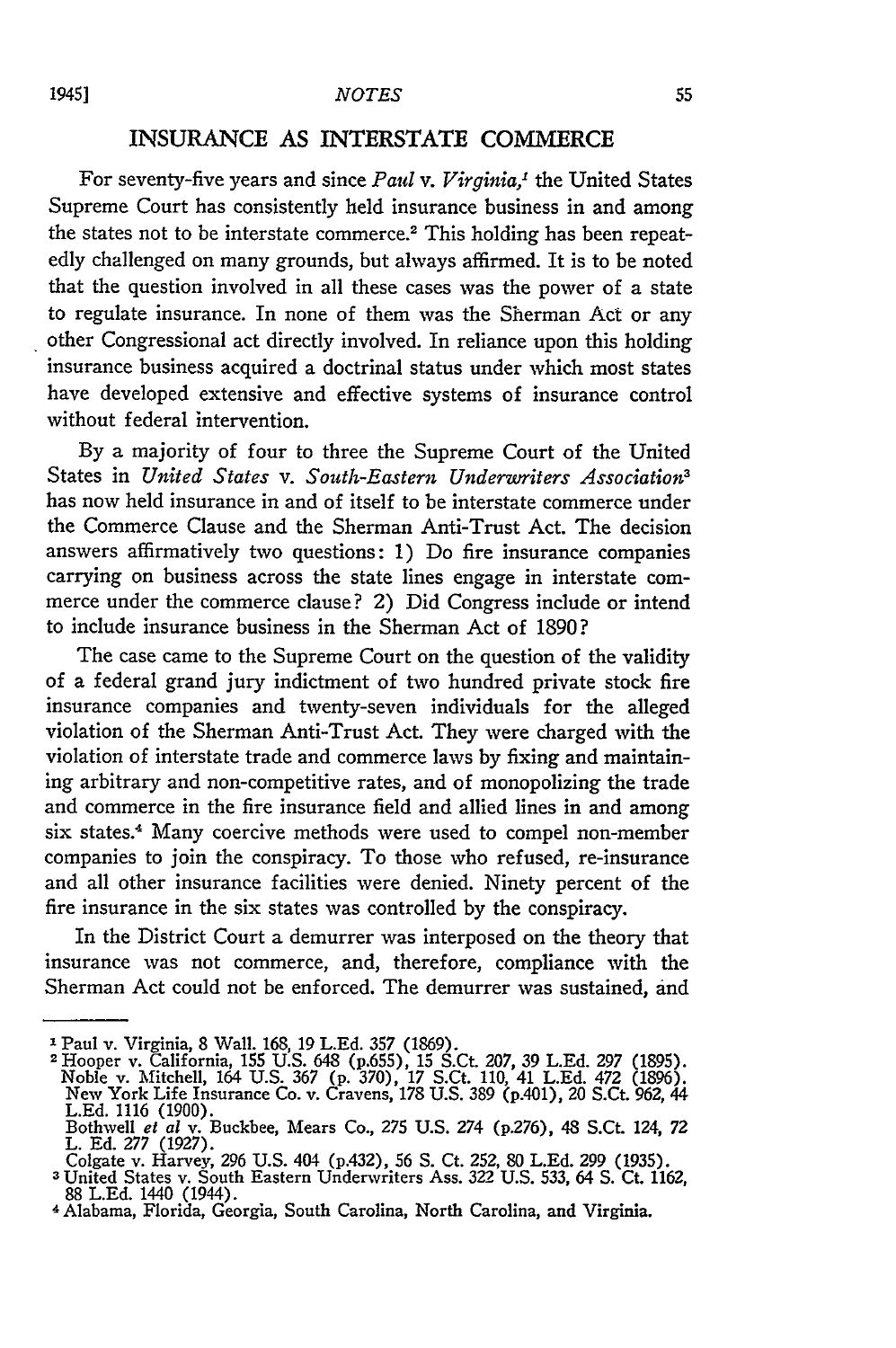## **INSURANCE AS** INTERSTATE COMMERCE

For seventy-five years and since *Paul v. Virginia,'* the United States Supreme Court has consistently held insurance business in and among the states not to be interstate commerce.<sup>2</sup> This holding has been repeatedly challenged on many grounds, but always affirmed. It is to be noted that the question involved in all these cases was the power of a state to regulate insurance. In none of them was the Sherman Act or any other Congressional act directly involved. In reliance upon this holding insurance business acquired a doctrinal status under which most states have developed extensive and effective systems of insurance control without federal intervention.

By a majority of four to three the Supreme Court of the United States in *United States v. South-Eastern Underwriters Association3* has now held insurance in and of itself to be interstate commerce under the Commerce Clause and the Sherman Anti-Trust Act. The decision answers affirmatively two questions: 1) Do fire insurance companies carrying on business across the state lines engage in interstate commerce under the commerce clause? 2) Did Congress include or intend to include insurance business in the Sherman Act of 1890?

The case came to the Supreme Court on the question of the validity of a federal grand jury indictment of two hundred private stock fire insurance companies and twenty-seven individuals for the alleged violation of the Sherman Anti-Trust Act. They were charged with the violation of interstate trade and commerce laws by fixing and maintaining arbitrary and non-competitive rates, and of monopolizing the trade and commerce in the fire insurance field and allied lines in and among six states.4 Many coercive methods were used to compel non-member companies to join the conspiracy. To those who refused, re-insurance and all other insurance facilities were denied. Ninety percent of the fire insurance in the six states was controlled by the conspiracy.

In the District Court a demurrer was interposed on the theory that insurance was not commerce, and, therefore, compliance with the Sherman Act could not be enforced. The demurrer was sustained, and

**I** Paul v. Virginia, 8 Wall. 168, 19 **L.Ed. 357** (1869).

**<sup>2</sup>** Hooper v. California, **155** U.S. 648 (p.655), 15 S.Ct. 207, 39 L.Ed. **297** (1895). Noble v. Mitchell, 164 U.S. 367 (p. 370), 17 S.Ct. 110, 41 **L.Ed.** 472 (1896). New York Life Insurance Co. v. Cravens, 178 U.S. 389 (p.401), 20 S.Ct. 962, 44 L.Ed. 1116 (1900). Bothwell *et al* v. Buckbee, Mears Co., **275** U.S. 274 (p276), 48 S.Ct. 124, **<sup>72</sup>**

L. Ed. 277 (1927).<br>Colgate v. Harvey, 296 U.S. 404 (p.432), 56 S. Ct. 252, 80 L.Ed. 299 (1935).<br><sup>3</sup> United States v. South Eastern Underwriters Ass. 322 U.S. 533, 64 S. Ct. 1162

<sup>88</sup>**L.Ed.** 1440 (1944). 4Alabama, Florida, Georgia, South Carolina, North Carolina, and Virginia.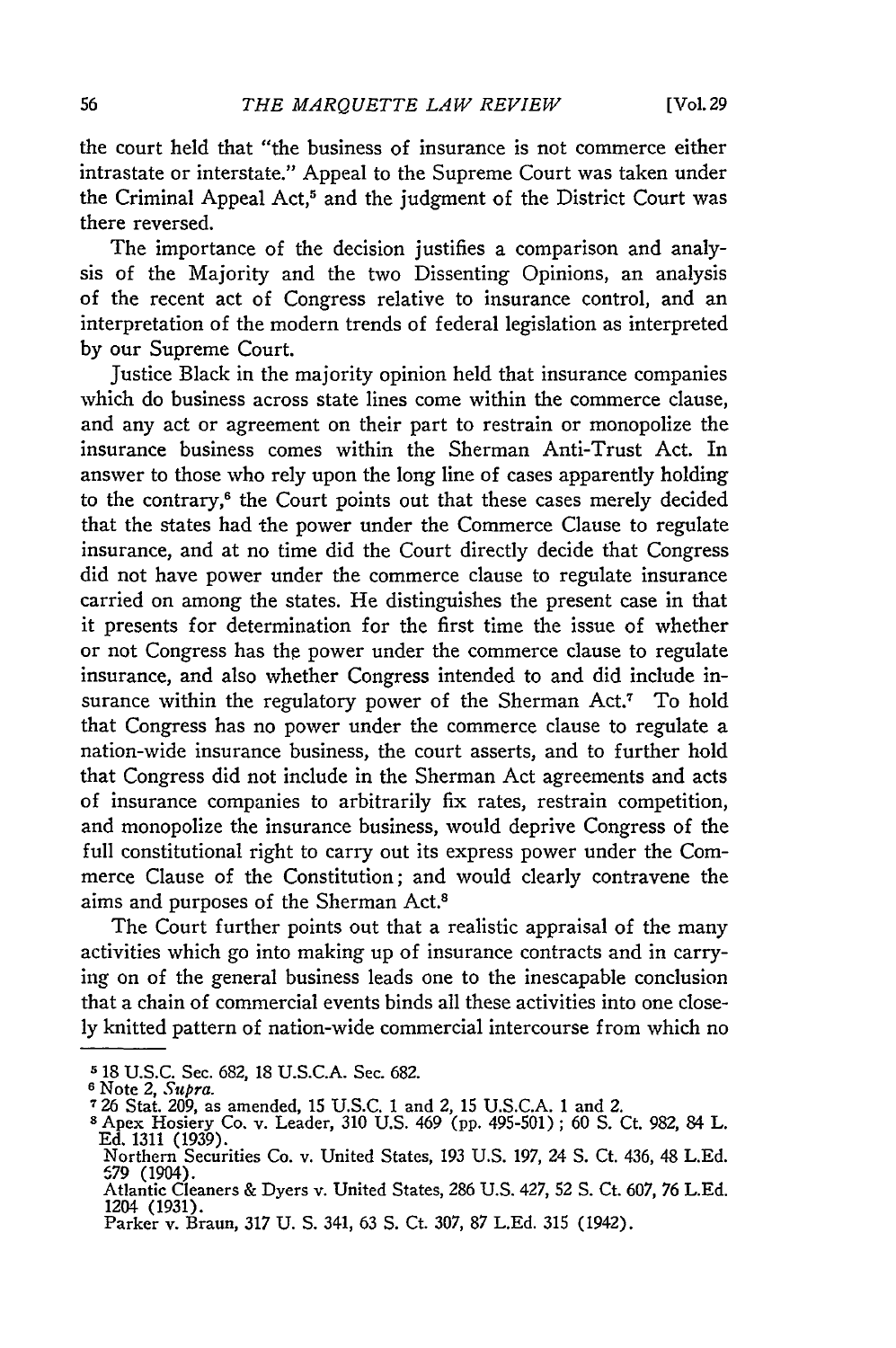the court held that "the business of insurance is not commerce either intrastate or interstate." Appeal to the Supreme Court was taken under the Criminal Appeal Act,<sup>5</sup> and the judgment of the District Court was there reversed.

The importance of the decision justifies a comparison and analysis of the Majority and the two Dissenting Opinions, an analysis of the recent act of Congress relative to insurance control, and an interpretation of the modern trends of federal legislation as interpreted by our Supreme Court.

Justice Black in the majority opinion held that insurance companies which do business across state lines come within the commerce clause, and any act or agreement on their part to restrain or monopolize the insurance business comes within the Sherman Anti-Trust Act. In answer to those who rely upon the long line of cases apparently holding to the contrary,<sup>6</sup> the Court points out that these cases merely decided that the states had the power under the Commerce Clause to regulate insurance, and at no time did the Court directly decide that Congress did not have power under the commerce clause to regulate insurance carried on among the states. He distinguishes the present case in that it presents for determination for the first time the issue of whether or not Congress has the power under the commerce clause to regulate insurance, and also whether Congress intended to and did include insurance within the regulatory power of the Sherman Act.<sup>7</sup> To hold that Congress has no power under the commerce clause to regulate a nation-wide insurance business, the court asserts, and to further hold that Congress did not include in the Sherman Act agreements and acts of insurance companies to arbitrarily fix rates, restrain competition, and monopolize the insurance business, would deprive Congress of the full constitutional right to carry out its express power under the Commerce Clause of the Constitution; and would clearly contravene the aims and purposes of the Sherman Act.<sup>8</sup>

The Court further points out that a realistic appraisal of the many activities which go into making up of insurance contracts and in carrying on of the general business leads one to the inescapable conclusion that a chain of commercial events binds all these activities into one closely knitted pattern of nation-wide commercial intercourse from which no

**<sup>5</sup>** 18 U.S.C. Sec. 682, 18 U.S.C.A. Sec. 682.

**<sup>6</sup>** Note 2, *Supra.*

**<sup>726</sup>**Stat. 209, as amended, 15 U.S.C. 1 and 2, 15 U.S.C.A. 1 and 2. **"** Apex Hosiery Co. v. Leader, 310 U.S. 469 (pp. 495-501) ; 60 **S.** Ct. 982, 84 L.

Ed. 1311 (1939). Northern Securities Co. v. United States, 193 U.S. 197, 24 **S.** Ct. 436, 48 L.Ed.

Northern Securities Co. v. United States, 193 U.S. 197, 24 S. Ct. 436, 48 L.Ed.<br>579 (1904).<br>Atlantic Cleaners & Dyers v. United States, 286 U.S. 427, 52 S. Ct. 607, 76 L.Ed.<br>1204 (1931).

<sup>1204 (1931).</sup> Parker v. Braun, 317 U. **S.** 341, 63 **S.** Ct. 307, 87 L.Ed. 315 (1942).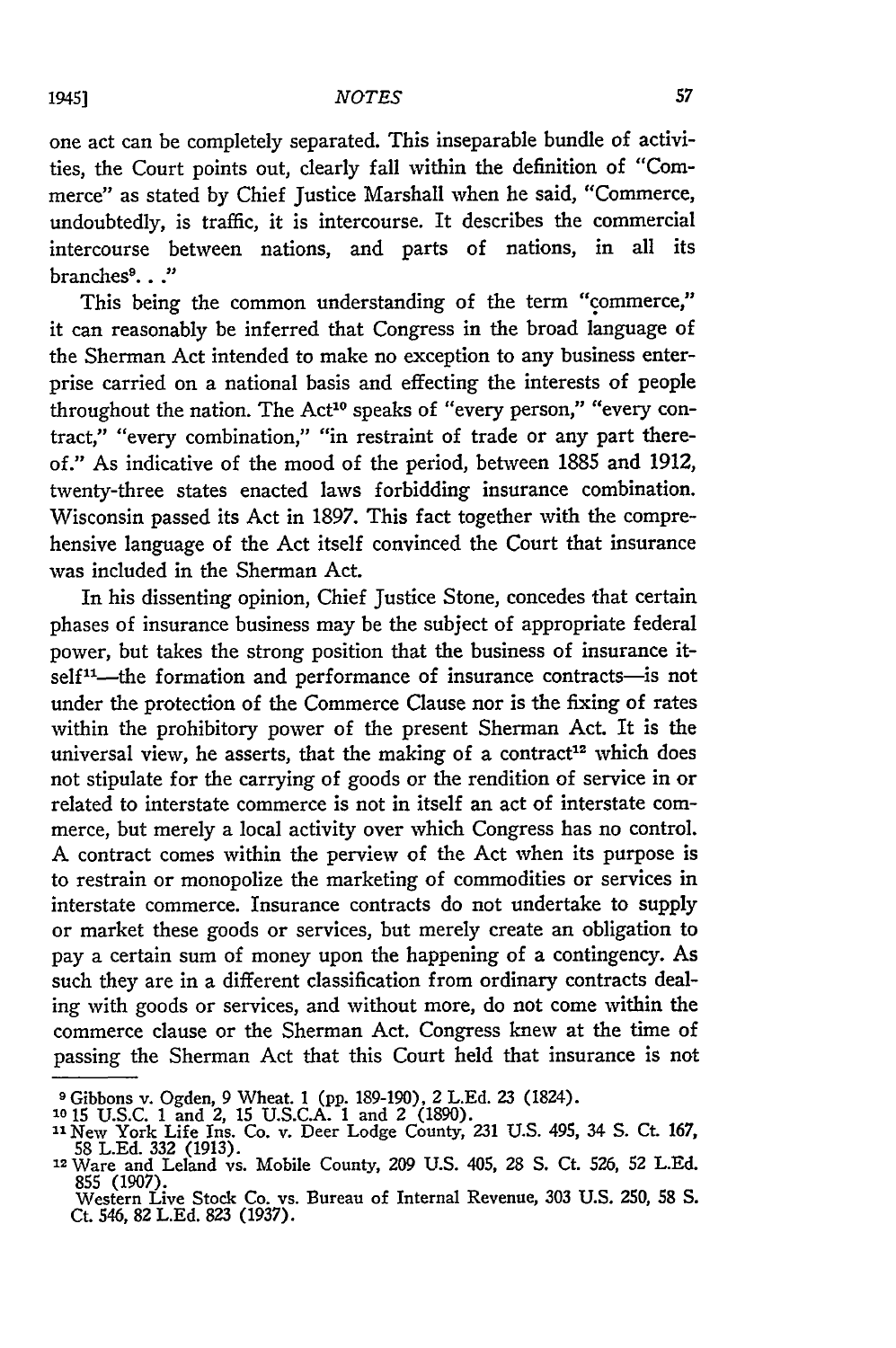one act can be completely separated. This inseparable bundle of activities, the Court points out, clearly fall within the definition of *"Com*merce" as stated **by** Chief Justice Marshall when he said, "Commerce, undoubtedly, is traffic, it is intercourse. It describes the commercial intercourse between nations, and parts of nations, in all its branches 9. **. ."**

This being the common understanding of the term "commerce," it can reasonably be inferred that Congress in the broad language of the Sherman Act intended to make no exception to any business enterprise carried on a national basis and effecting the interests of people throughout the nation. The Act<sup>10</sup> speaks of "every person," "every contract," "every combination," "in restraint of trade or any part thereof." As indicative of the mood of the period, between 1885 and 1912, twenty-three states enacted laws forbidding insurance combination. Wisconsin passed its Act in **1897.** This fact together with the comprehensive language of the Act itself convinced the Court that insurance was included in the Sherman Act.

In his dissenting opinion, Chief Justice Stone, concedes that certain phases of insurance business may be the subject of appropriate federal power, but takes the strong position that the business of insurance itself<sup>11</sup>-the formation and performance of insurance contracts-is not under the protection of the Commerce Clause nor is the fixing of rates within the prohibitory power of the present Sherman Act. It is the universal view, he asserts, that the making of a contract<sup>12</sup> which does not stipulate for the carrying of goods or the rendition of service in or related to interstate commerce is not in itself an act of interstate commerce, but merely a local activity over which Congress has no control. A contract comes within the perview of the Act when its purpose is to restrain or monopolize the marketing of commodities or services in interstate commerce. Insurance contracts do not undertake to supply or market these goods or services, but merely create an obligation to pay a certain sum of money upon the happening of a contingency. As such they are in a different classification from ordinary contracts dealing with goods or services, and without more, do not come within the commerce clause or the Sherman Act. Congress knew at the time of passing the Sherman Act that this Court held that insurance is not

**<sup>9</sup>**Gibbons v. Ogden, **9** Wheat. 1 (pp. 189-190), 2 **L.Ed.** 23 (1824). **10 15** U.S.C. 1 and *2,* 15 U.S.C.A. 1 and 2 **(1890).**

<sup>&</sup>quot;New York Life Ins. Co. v. Deer Lodge County, 231 **U.S.** 495, 34 **S.** Ct. 167, <sup>58</sup>**L.Ed.** 332 **(1913). <sup>12</sup>**Ware and Leland vs. Mobile County, **209** U.S. 405, **28 S.** Ct. 526, 52 L.Ed.

<sup>855 (1907)</sup> 

Western Live Stock Co. vs. Bureau of Internal Revenue, **303** U.S. **250, 58 S.** Ct. 546, 82 L.Ed. 823 (1937).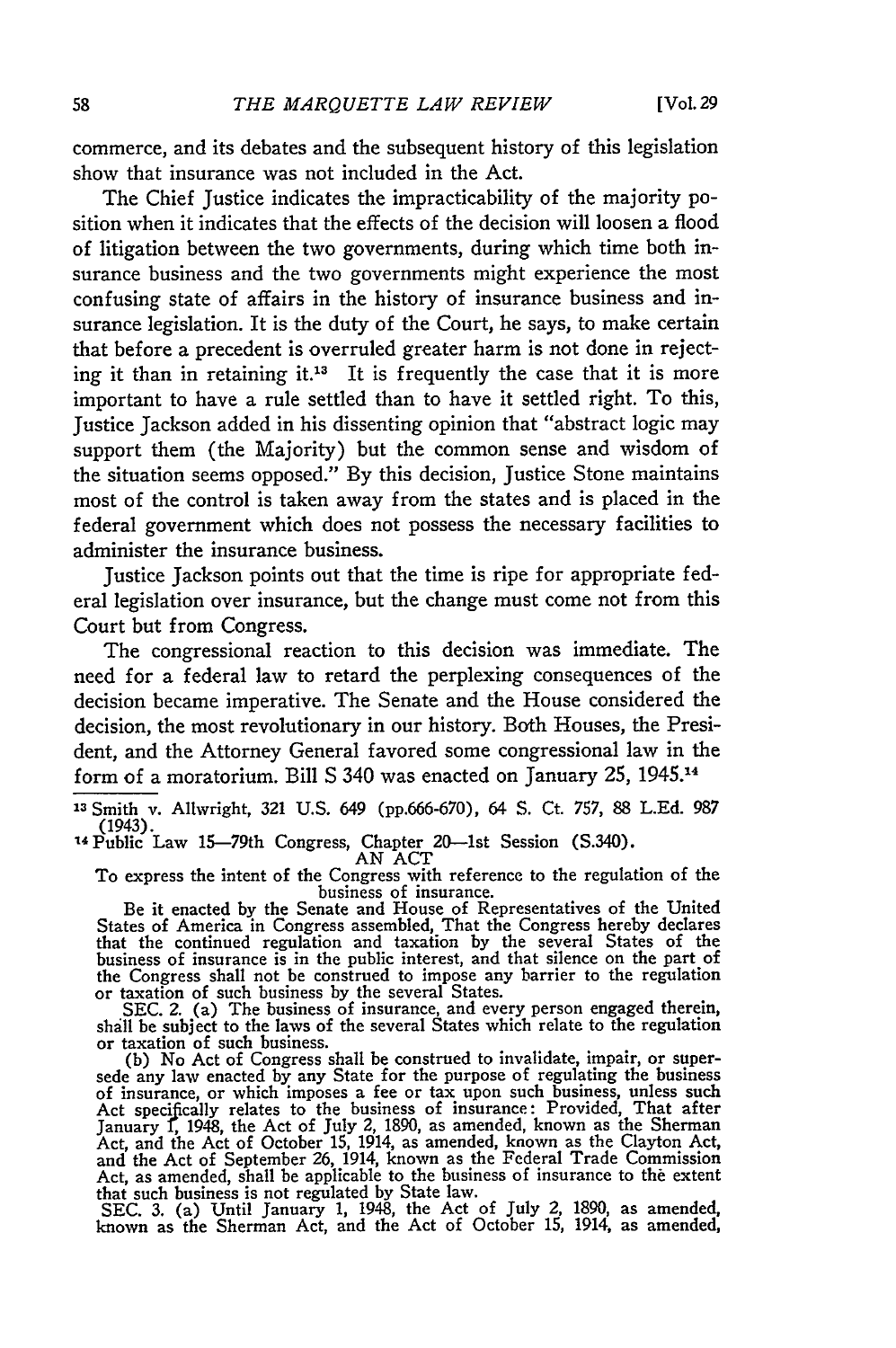commerce, and its debates and the subsequent history of this legislation show that insurance was not included in the Act.

The Chief Justice indicates the impracticability of the majority position when it indicates that the effects of the decision will loosen a flood of litigation between the two governments, during which time both insurance business and the two governments might experience the most confusing state of affairs in the history of insurance business and insurance legislation. It is the duty of the Court, he says, to make certain that before a precedent is overruled greater harm is not done in rejecting it than in retaining it.<sup>13</sup> It is frequently the case that it is more important to have a rule settled than to have it settled right. To this, Justice Jackson added in his dissenting opinion that "abstract logic may support them (the Majority) but the common sense and wisdom of the situation seems opposed." By this decision, Justice Stone maintains most of the control is taken away from the states and is placed in the federal government which does not possess the necessary facilities to administer the insurance business.

Justice Jackson points out that the time is ripe for appropriate federal legislation over insurance, but the change must come not from this Court but from Congress.

The congressional reaction to this decision was immediate. The need for a federal law to retard the perplexing consequences of the decision became imperative. The Senate and the House considered the decision, the most revolutionary in our history. Both Houses, the President, and the Attorney General favored some congressional law in the form of a moratorium. Bill **S** 340 was enacted on January 25, 1945.14

13 Smith v. Allwright, 321 U.S. 649 (pp.666-670), 64 S. Ct. 757, 88 L.Ed. 987 (1943).

To express the intent of the Congress with reference to the regulation of the business of insurance. Be it enacted by the Senate and House of Representatives of the United

States of America in Congress assembled, That the Congress hereby declares<br>that the continued regulation and taxation by the several States of the<br>business of insurance is in the public interest, and that silence on the pa the Congress shall not be construed to impose any barrier to the regulation or taxation of such business by the several States. SEC. 2. (a) The business of insurance, and every person engaged therein,

shall be subject to the laws of the several States which relate to the regulation

or taxation of such business. (b) No Act of Congress shall be construed to invalidate, impair, or super-sede any law enacted by any State for the purpose of regulating the business of insurance, or which imposes a fee or tax upon such business, unless such Act specijfcally relates to the business of insurance: Provided, That after January **1,** 1948, the Act of July 2, 1890, as amended, known as the Sherman Act, and the Act of October 15, 1914, as amended, known as the Clayton Act, and the Act of October 15, 1914, known as the Federal Trade Commission Act, as amended, shall be applicable to the business of insurance to the ex

that such business is not regulated by State law. SEC. **3.** (a) Until January **1,** 1948, the Act of July 2, 1890, as amended, known as the Sherman Act, and the Act of October **15,** 1914, as amended,

<sup>&</sup>quot;Public Law 15-79th Congress, Chapter 20-lst Session (S.340). AN ACT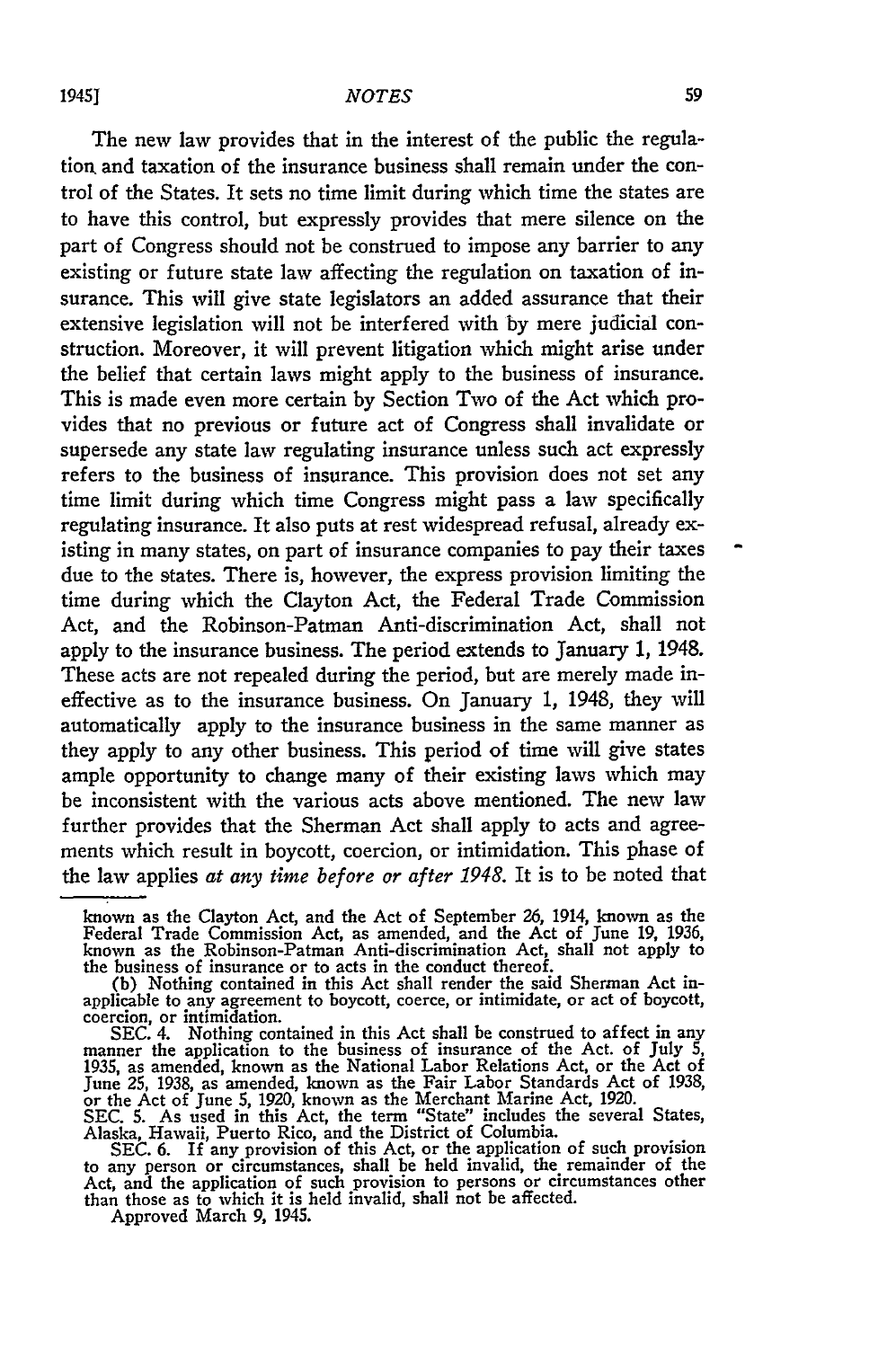The new law provides that in the interest of the public the regulation, and taxation of the insurance business shall remain under the control of the States. It sets no time limit during which time the states are to have this control, but expressly provides that mere silence on the part of Congress should not be construed to impose any barrier to any existing or future state law affecting the regulation on taxation of insurance. This will give state legislators an added assurance that their extensive legislation will not be interfered with by mere judicial construction. Moreover, it will prevent litigation which might arise under the belief that certain laws might apply to the business of insurance. This is made even more certain by Section Two of the Act which provides that no previous or future act of Congress shall invalidate or supersede any state law regulating insurance unless such act expressly refers to the business of insurance. This provision does not set any time limit during which time Congress might pass a law specifically regulating insurance. It also puts at rest widespread refusal, already existing in many states, on part of insurance companies to pay their taxes due to the states. There is, however, the express provision limiting the time during which the Clayton Act, the Federal Trade Commission Act, and the Robinson-Patman Anti-discrimination Act, shall not apply to the insurance business. The period extends to January 1, 1948. These acts are not repealed during the period, but are merely made ineffective as to the insurance business. On January 1, 1948, they will automatically apply to the insurance business in the same manner as they apply to any other business. This period of time will give states ample opportunity to change many of their existing laws which may be inconsistent with the various acts above mentioned. The new law further provides that the Sherman Act shall apply to acts and agreements which result in boycott, coercion, or intimidation. This phase of the law applies *at any time before or after 1948.* It is to be noted that

Alaska, Hawaii, Puerto Rico, and the District of Columbia.

Approved March 9, 1945.

known as the Clayton Act, and the Act of September 26, 1914, known as the Federal Trade Commission Act, as amended, and the Act of June 19, 1936, known as the Robinson-Patman Anti-discrimination Act, shall not apply to the business of insurance or to acts in the conduct thereof. (b) Nothing contained in this Act shall render the said Sherman Act in-

applicable to any agreement to boycott, coerce, or intimidate, or act of boycott, coercion, or intimidation.

SEC. 4. Nothing contained in this Act shall be construed to affect in any<br>manner the application to the business of insurance of the Act. of July 5,<br>1935, as amended, known as the National Labor Relations Act, or the Act o

SEC. 6. If any provision of this Act, or the application of such provision<br>to any person or circumstances, shall be held invalid, the remainder of the<br>Act, and the application of such provision to persons or circumstances than those as to which it is held invalid, shall not be affected.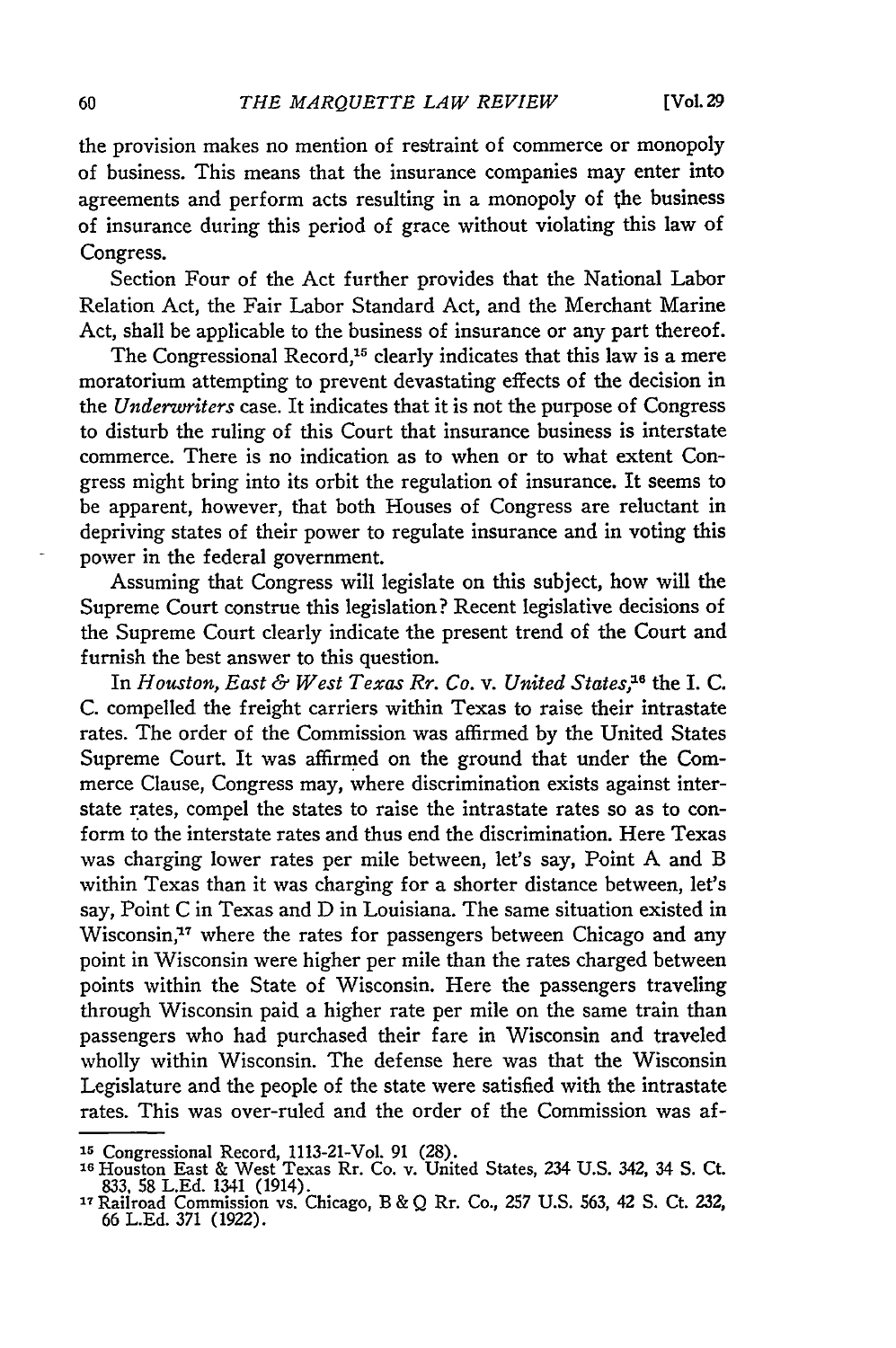the provision makes no mention of restraint of commerce or monopoly of business. This means that the insurance companies may enter into agreements and perform acts resulting in a monopoly of the business of insurance during this period of grace without violating this law of Congress.

Section Four of the Act further provides that the National Labor Relation Act, the Fair Labor Standard Act, and the Merchant Marine Act, shall be applicable to the business of insurance or any part thereof.

The Congressional Record,<sup>15</sup> clearly indicates that this law is a mere moratorium attempting to prevent devastating effects of the decision in *the Underwriters* case. It indicates that it is not the purpose of Congress to disturb the ruling of this Court that insurance business is interstate commerce. There is no indication as to when or to what extent Congress might bring into its orbit the regulation of insurance. It seems to be apparent, however, that both Houses of Congress are reluctant in depriving states of their power to regulate insurance and in voting this power in the federal government.

Assuming that Congress will legislate on this subject, how will the Supreme Court construe this legislation? Recent legislative decisions of the Supreme Court clearly indicate the present trend of the Court and furnish the best answer to this question.

In *Houston, East & West Texas Rr. Co. v. United States, <sup>6</sup>*the I. C. C. compelled the freight carriers within Texas to raise their intrastate rates. The order of the Commission was affirmed by the United States Supreme Court. It was affirmed on the ground that under the Commerce Clause, Congress may, where discrimination exists against interstate rates, compel the states to raise the intrastate rates so as to conform to the interstate rates and thus end the discrimination. Here Texas was charging lower rates per mile between, let's say, Point A and B within Texas than it was charging for a shorter distance between, let's say, Point C in Texas and D in Louisiana. The same situation existed in Wisconsin,<sup>17</sup> where the rates for passengers between Chicago and any point in Wisconsin were higher per mile than the rates charged between points within the State of Wisconsin. Here the passengers traveling through Wisconsin paid a higher rate per mile on the same train than passengers who had purchased their fare in Wisconsin and traveled wholly within Wisconsin. The defense here was that the Wisconsin Legislature and the people of the state were satisfied with the intrastate rates. This was over-ruled and the order of the Commission was af-

**<sup>15</sup>**Congressional Record, 1113-21-Vol. 91 (28). **<sup>16</sup>**Houston East & West Texas Rr. Co. v. United States, 234 U.S. 342, 34 **S.** Ct. 833, 58 L.Ed. 1341 (1914). 17Railroad Commission vs. Chicago, B & Q Rr. Co., 257 U.S. 563, 42 **S.** Ct. 232,

<sup>66</sup> L.Ed. 371 (1922).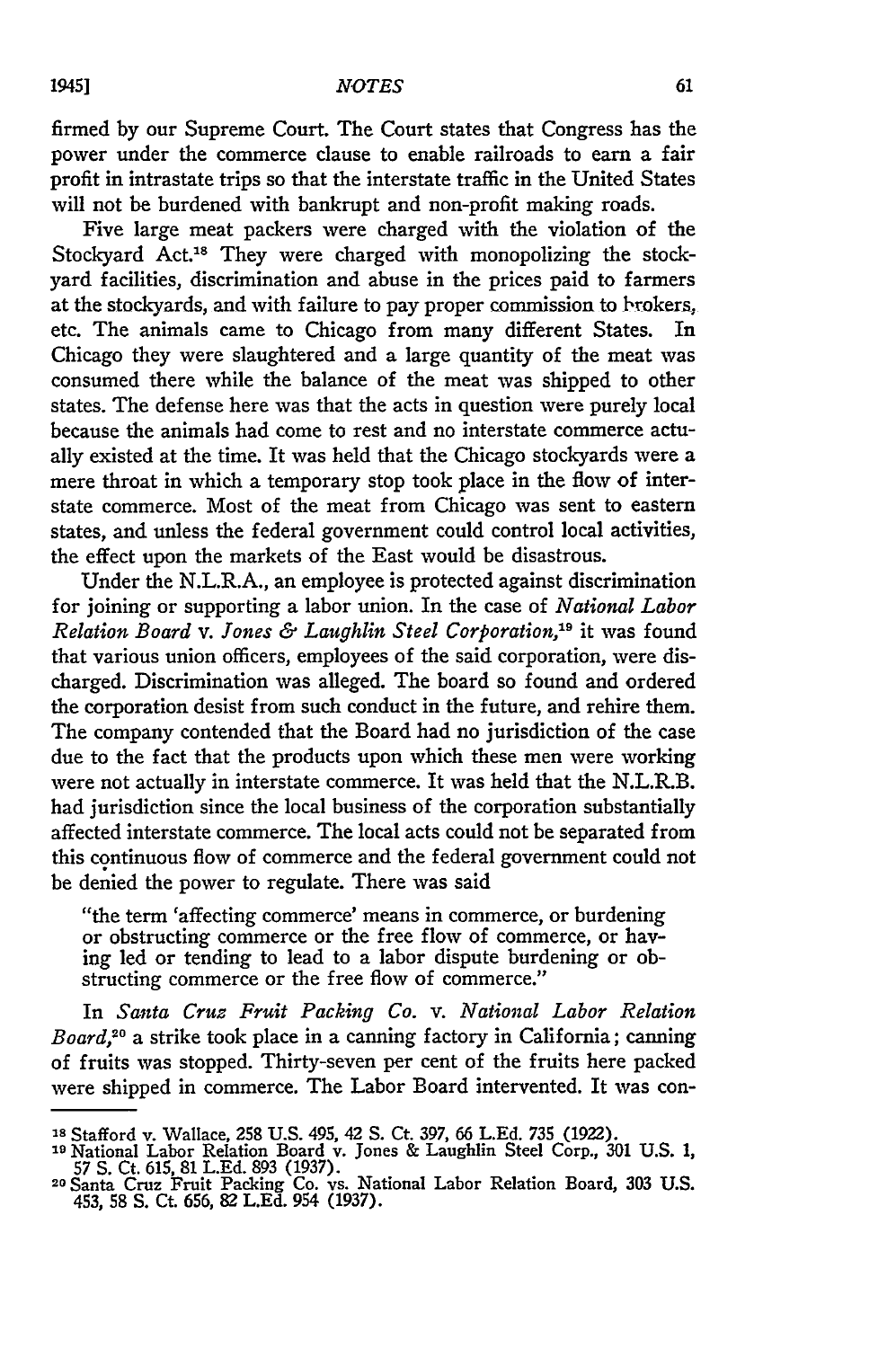firmed by our Supreme Court. The Court states that Congress has the power under the commerce clause to enable railroads to earn a fair profit in intrastate trips so that the interstate traffic in the United States will not be burdened with bankrupt and non-profit making roads.

Five large meat packers were charged with the violation of the Stockyard Act.<sup>18</sup> They were charged with monopolizing the stockyard facilities, discrimination and abuse in the prices paid to farmers at the stockyards, and with failure to pay proper commission to brokers, etc. The animals came to Chicago from many different States. In Chicago they were slaughtered and a large quantity of the meat was consumed there while the balance of the meat was shipped to other states. The defense here was that the acts in question were purely local because the animals had come to rest and no interstate commerce actually existed at the time. It was held that the Chicago stockyards were a mere throat in which a temporary stop took place in the flow of interstate commerce. Most of the meat from Chicago was sent to eastern states, and unless the federal government could control local activities, the effect upon the markets of the East would be disastrous.

Under the N.L.R.A., an employee is protected against discrimination for joining or supporting a labor union. In the case of *National Labor Relation Board v. Jones & Laughlin Steel Corporation,19* it was found that various union officers, employees of the said corporation, were discharged. Discrimination was alleged. The board so found and ordered the corporation desist from such conduct in the future, and rehire them. The company contended that the Board had no jurisdiction of the case due to the fact that the products upon which these men were working were not actually in interstate commerce. It was held that the N.L.R.B. had jurisdiction since the local business of the corporation substantially affected interstate commerce. The local acts could not be separated from this continuous flow of commerce and the federal government could not be denied the power to regulate. There was said

"the term 'affecting commerce' means in commerce, or burdening or obstructing commerce or the free flow of commerce, or having led or tending to lead to a labor dispute burdening or obstructing commerce or the free flow of commerce."

In *Santa Cruz Fruit Packing Co. v. National Labor Relation Board,20* a strike took place in a canning factory in California; canning of fruits was stopped. Thirty-seven per cent of the fruits here packed were shipped in commerce. The Labor Board intervented. It was con-

**<sup>&#</sup>x27;s** Stafford v. Wallace, 258 U.S. 495, 42 S. Ct. 397, **66** L.Ed. **735** (1922).

**<sup>19</sup>**National Labor Relation Board v. Jones & Laughlin Steel Corp., 301 U.S. 1,

<sup>57</sup>**S.** Ct. 615, 81 L.Ed. 893 (1937). **<sup>20</sup>**Santa Cruz Fruit Packing Co. vs. National Labor Relation Board, 303 U.S. 453, 58 **S. Ct.** 656, 82 **L.Ed.** 954 (1937).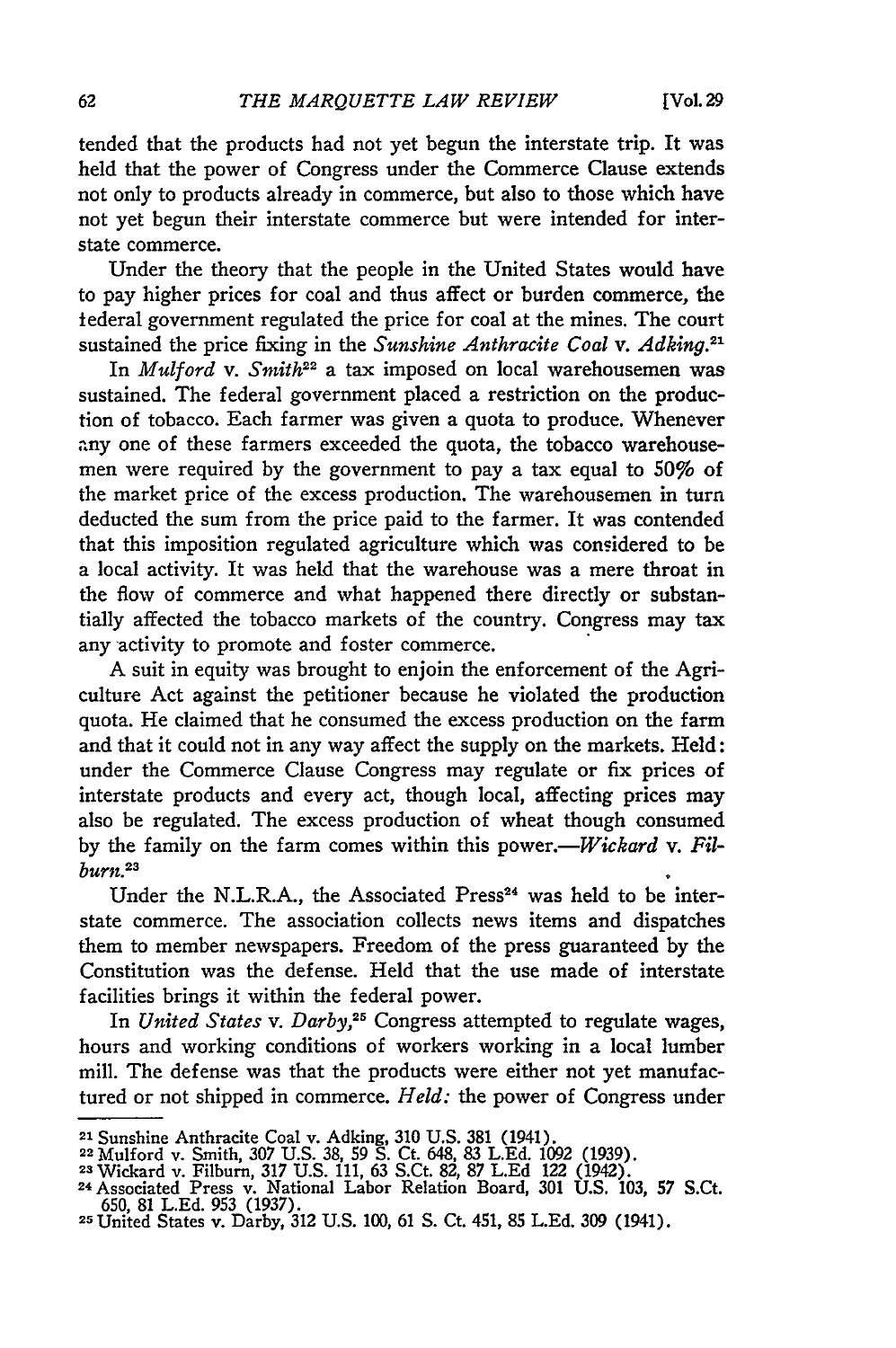tended that the products had not yet begun the interstate trip. It was held that the power of Congress under the Commerce Clause extends not only to products already in commerce, but also to those which have not yet begun their interstate commerce but were intended for interstate commerce.

Under the theory that the people in the United States would have to pay higher prices for coal and thus affect or burden commerce, the federal government regulated the price for coal at the mines. The court sustained the price fixing in the *Sunshine Anthracite Coal v. Adking.*<sup>21</sup>

In *Mulford v. Smith<sup>22</sup>* a tax imposed on local warehousemen was sustained. The federal government placed a restriction on the production of tobacco. Each farmer was given a quota to produce. Whenever any one of these farmers exceeded the quota, the tobacco warehousemen were required **by** the government to pay a tax equal to *50%* of the market price of the excess production. The warehousemen in turn deducted the sum from the price paid to the farmer. It was contended that this imposition regulated agriculture which was considered to be a local activity. It was held that the warehouse was a mere throat in the flow of commerce and what happened there directly or substantially affected the tobacco markets of the country. Congress may tax any activity to promote and foster commerce.

A suit in equity was brought to enjoin the enforcement of the Agriculture Act against the petitioner because he violated the production quota. He claimed that he consumed the excess production on the farm and that it could not in any way affect the supply on the markets. Held: under the Commerce Clause Congress may regulate or fix prices of interstate products and every act, though local, affecting prices may also be regulated. The excess production of wheat though consumed by the family on the farm comes within this power.—*Wickard v. Filburn.23*

Under the N.L.R.A., the Associated Press<sup>24</sup> was held to be interstate commerce. The association collects news items and dispatches them to member newspapers. Freedom of the press guaranteed **by** the Constitution was the defense. Held that the use made of interstate facilities brings it within the federal power.

In *United States v. Darby,25* Congress attempted to regulate wages, hours and working conditions of workers working in a local lumber mill. The defense was that the products were either not yet manufactured or not shipped in commerce. *Held:* the power of Congress under

<sup>21</sup> Sunshine Anthracite Coal v. Adking, 310 U.S. 381 (1941).<br>22 Mulford v. Smith, 307 U.S. 38, 59 S. Ct. 648, 83 L.Ed. 1092 (1939)<br>23 Wickard v. Filburn, 317 U.S. 111, 63 S.Ct. 82, 87 L.Ed. 122 (1942)

**<sup>24</sup>**Associated Press v. National Labor Relation Board, 301 **U.S.** 103, **57** S.Ct. 650, **81** L.Ed. **953** (1937). 2 United States v. Darby, 312 **U.S.** 100, 61 **S.** Ct. 451, **85 L.Ed.** 309 (1941).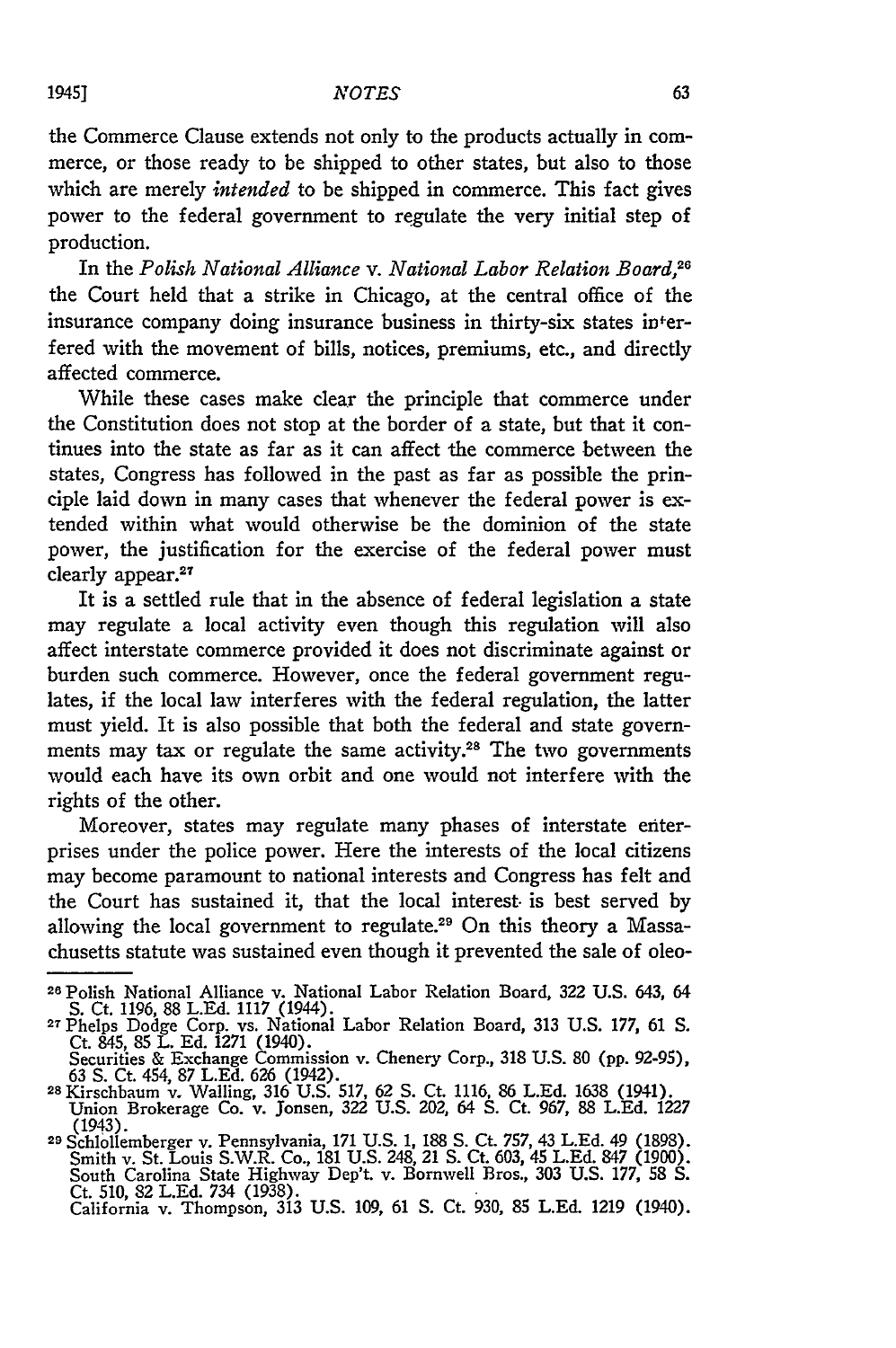the Commerce Clause extends not only to the products actually in commerce, or those ready to be shipped to other states, but also to those which are merely *intended* to be shipped in commerce. This fact gives power to the federal government to regulate the very initial step of production.

In the *Polish National Alliance v. National Labor Relation Board,"* the Court held that a strike in Chicago, at the central office of the insurance company doing insurance business in thirty-six states interfered with the movement of bills, notices, premiums, etc., and directly affected commerce.

While these cases make clear the principle that commerce under the Constitution does not stop at the border of a state, but that it continues into the state as far as it can affect the commerce between the states, Congress has followed in the past as far as possible the principle laid down in many cases that whenever the federal power is extended within what would otherwise be the dominion of the state power, the justification for the exercise of the federal power must row, are just<br>clearly appear.<sup>27</sup>

It is a settled rule that in the absence of federal legislation a state may regulate a local activity even though this regulation will also affect interstate commerce provided it does not discriminate against or burden such commerce. However, once the federal government regulates, if the local law interferes with the federal regulation, the latter must yield. It is also possible that both the federal and state governments may tax or regulate the same activity.28 The two governments would each have its own orbit and one would not interfere with the rights of the other.

Moreover, states may regulate many phases of interstate enterprises under the police power. Here the interests of the local citizens may become paramount to national interests and Congress has felt and the Court has sustained it, that the local interest, is best served by allowing the local government to regulate.<sup>29</sup> On this theory a Massachusetts statute was sustained even though it prevented the sale of oleo-

**<sup>28</sup>**Polish National Alliance v. National Labor Relation Board, **322** U.S. 643, 64 S. Ct. 1196, 88 L.Ed. 1117 (1944). **<sup>27</sup>**Phelps Dodge Corp. vs. National Labor Relation Board, 313 U.S. 177, **61** *S.*

Ct. 845, 85 L. Ed. 1271 (1940).<br>Securities & Exchange Commission v. Chenery Corp., 318 U.S. 80 (pp. 92-95)<br>63 S. Ct. 454, 87 L.Ed. 626 (1942).<br><sup>28</sup> Kirschbaum v. Walling, 316 U.S. 517, 62 S. Ct. 1116, 86 L.Ed. 1638 (1941).

Union Brokerage Co. v. Jonsen, **322** U.S. 202, 64 **S.** Ct. 967, 88 L.Ed. 1227 (1943). 29 Schlollemberger v. Pennsylvania, 171 U.S. 1, 188 **S.** Ct. 757, 43 L.Ed. 49 (1898).

Smith v. St. Louis S.W.R. Co., 181 U.S. 248, 21 **S.** Ct. 603, 45 L.Ed. 847 (1900). South Carolina State Highway Dep't. v. Bornwell Bros., 303 U.S. 177, **58 S.** Ct. 510, 82 L.Ed. 734 (1938).

California v. Thompson, 313 U.S. 109, 61 **S.** Ct. 930, 85 L.Ed. 1219 (1940).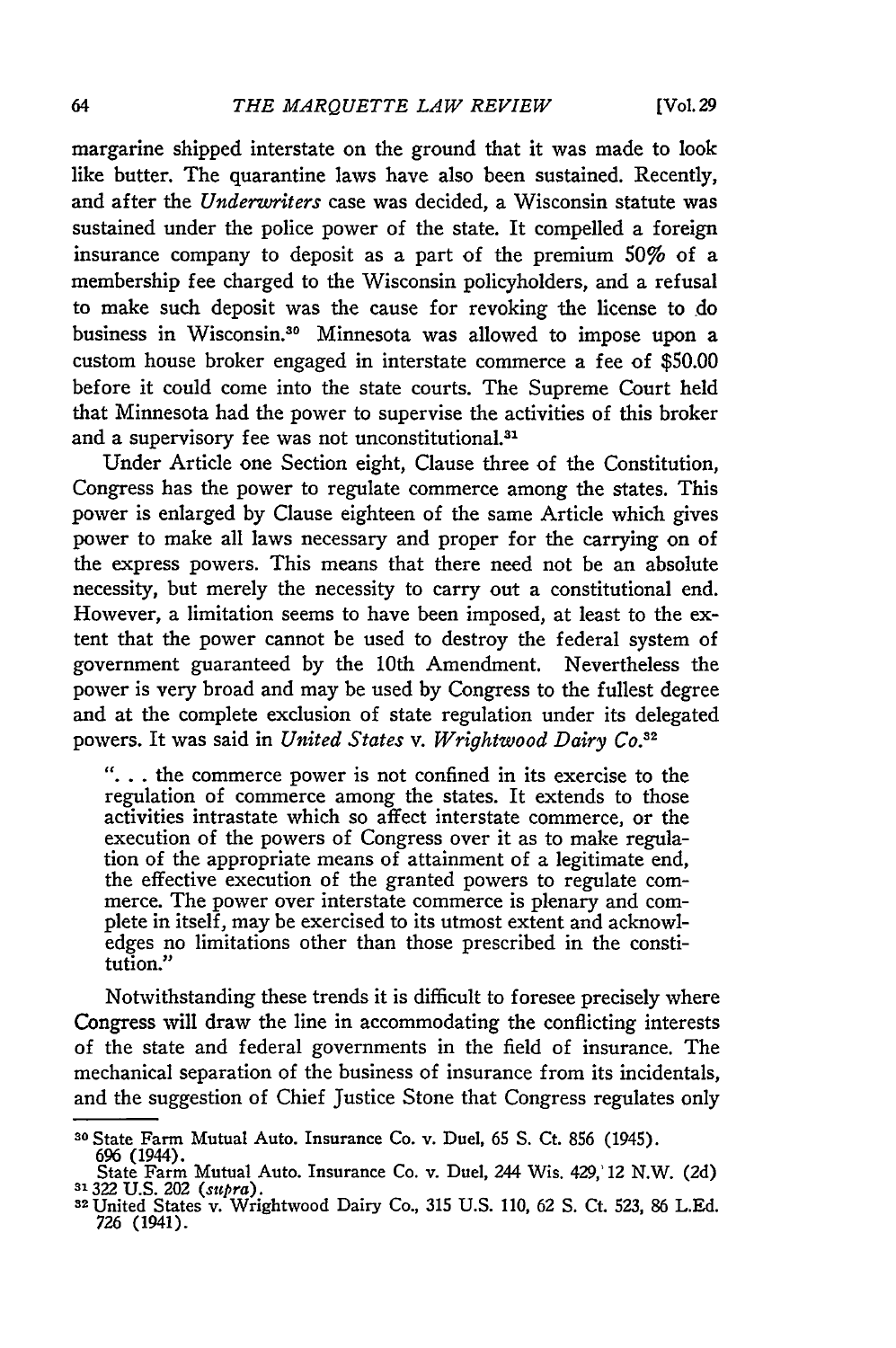margarine shipped interstate on the ground that it was made to look like butter. The quarantine laws have also been sustained. Recently, and after the *Underwriters* case was decided, a Wisconsin statute was sustained under the police power of the state. It compelled a foreign insurance company to deposit as a part of the premium 50% of a membership fee charged to the Wisconsin policyholders, and a refusal to make such deposit was the cause for revoking the license to do business in Wisconsin.30 Minnesota was allowed to impose upon a custom house broker engaged in interstate commerce a fee of \$50.00 before it could come into the state courts. The Supreme Court held that Minnesota had the power to supervise the activities of this broker and a supervisory fee was not unconstitutional.<sup>31</sup>

Under Article one Section eight, Clause three of the Constitution, Congress has the power to regulate commerce among the states. This power is enlarged by Clause eighteen of the same Article which gives power to make all laws necessary and proper for the carrying on of the express powers. This means that there need not be an absolute necessity, but merely the necessity to carry out a constitutional end. However, a limitation seems to have been imposed, at least to the extent that the power cannot be used to destroy the federal system of government guaranteed by the 10th Amendment. Nevertheless the power is very broad and may be used by Congress to the fullest degree and at the complete exclusion of state regulation under its delegated powers. It was said in *United* States *v. Wrightwood Dairy Co.<sup>3</sup> <sup>2</sup>*

**"...** the commerce power is not confined in its exercise to the regulation of commerce among the states. It extends to those activities intrastate which so affect interstate commerce, or the execution of the powers of Congress over it as to make regulation of the appropriate means of attainment of a legitimate end, the effective execution of the granted powers to regulate commerce. The power over interstate commerce is plenary and complete in itself, may be exercised to its utmost extent and acknowledges no limitations other than those prescribed in the constitution."

Notwithstanding these trends it is difficult to foresee precisely where Congress will draw the line in accommodating the conflicting interests of the state and federal governments in the field of insurance. The mechanical separation of the business of insurance from its incidentals, and the suggestion of Chief Justice Stone that Congress regulates only

**<sup>30</sup>**State Farm Mutual Auto. Insurance Co. v. Duel, 65 **S.** Ct. 856 (1945).

<sup>696 (1944).&</sup>lt;br>
State Farm Mutual Auto. Insurance Co. v. Duel, 244 Wis. 429, 12 N.W. (2d)<br>
<sup>31</sup> 322 U.S. 202 (*supra*).<br>
<sup>32</sup> United States v. Wrightwood Dairy Co., 315 U.S. 110, 62 S. Ct. 523, 86 L.Ed.

<sup>726 (1941).</sup>